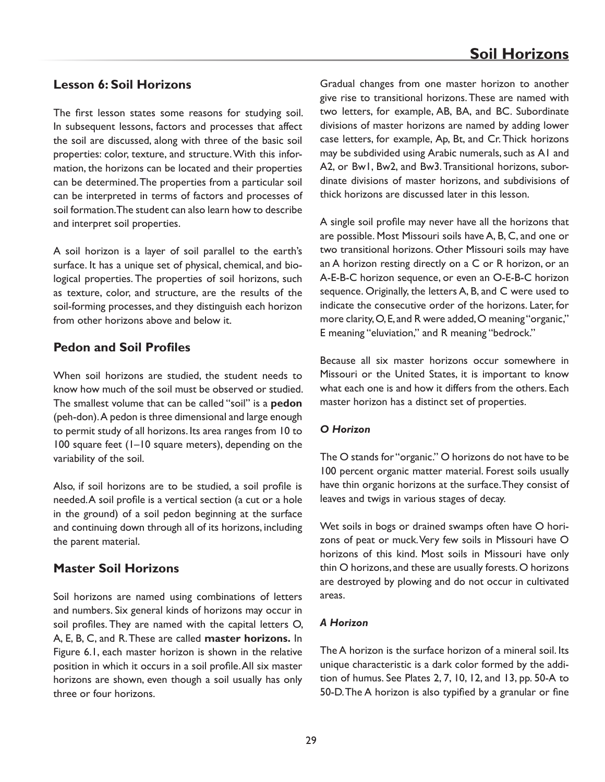# **Lesson 6: Soil Horizons**

The first lesson states some reasons for studying soil. In subsequent lessons, factors and processes that affect the soil are discussed, along with three of the basic soil properties: color, texture, and structure. With this information, the horizons can be located and their properties can be determined. The properties from a particular soil can be interpreted in terms of factors and processes of soil formation. The student can also learn how to describe and interpret soil properties.

A soil horizon is a layer of soil parallel to the earth's surface. It has a unique set of physical, chemical, and biological properties. The properties of soil horizons, such as texture, color, and structure, are the results of the soil-forming processes, and they distinguish each horizon from other horizons above and below it.

### **Pedon and Soil Profiles**

When soil horizons are studied, the student needs to know how much of the soil must be observed or studied. The smallest volume that can be called "soil" is a **pedon**  (peh-don). A pedon is three dimensional and large enough to permit study of all horizons. Its area ranges from 10 to 100 square feet (1–10 square meters), depending on the variability of the soil.

Also, if soil horizons are to be studied, a soil profile is needed. A soil profile is a vertical section (a cut or a hole in the ground) of a soil pedon beginning at the surface and continuing down through all of its horizons, including the parent material.

### **Master Soil Horizons**

Soil horizons are named using combinations of letters and numbers. Six general kinds of horizons may occur in soil profiles. They are named with the capital letters O, A, E, B, C, and R. These are called **master horizons.** In Figure 6.1, each master horizon is shown in the relative position in which it occurs in a soil profile. All six master horizons are shown, even though a soil usually has only three or four horizons.

Gradual changes from one master horizon to another give rise to transitional horizons. These are named with two letters, for example, AB, BA, and BC. Subordinate divisions of master horizons are named by adding lower case letters, for example, Ap, Bt, and Cr. Thick horizons may be subdivided using Arabic numerals, such as A1 and A2, or Bw1, Bw2, and Bw3. Transitional horizons, subordinate divisions of master horizons, and subdivisions of thick horizons are discussed later in this lesson.

A single soil profile may never have all the horizons that are possible. Most Missouri soils have A, B, C, and one or two transitional horizons. Other Missouri soils may have an A horizon resting directly on a C or R horizon, or an A-E-B-C horizon sequence, or even an O-E-B-C horizon sequence. Originally, the letters A, B, and C were used to indicate the consecutive order of the horizons. Later, for more clarity, O, E, and R were added, O meaning "organic," E meaning "eluviation," and R meaning "bedrock."

Because all six master horizons occur somewhere in Missouri or the United States, it is important to know what each one is and how it differs from the others. Each master horizon has a distinct set of properties.

#### *O Horizon*

The O stands for "organic." O horizons do not have to be 100 percent organic matter material. Forest soils usually have thin organic horizons at the surface. They consist of leaves and twigs in various stages of decay.

Wet soils in bogs or drained swamps often have O horizons of peat or muck. Very few soils in Missouri have O horizons of this kind. Most soils in Missouri have only thin O horizons, and these are usually forests. O horizons are destroyed by plowing and do not occur in cultivated areas.

#### *A Horizon*

The A horizon is the surface horizon of a mineral soil. Its unique characteristic is a dark color formed by the addition of humus. See Plates 2, 7, 10, 12, and 13, pp. 50-A to 50-D. The A horizon is also typified by a granular or fine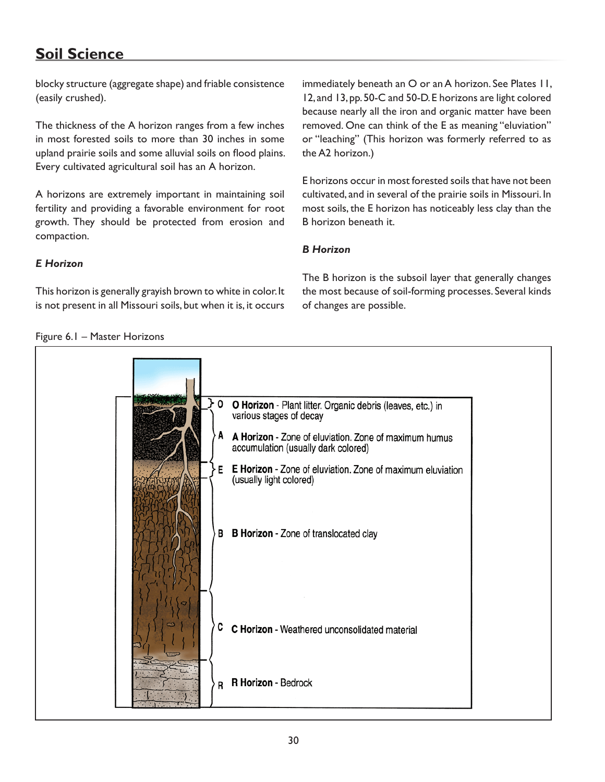# **Soil Science**

blocky structure (aggregate shape) and friable consistence (easily crushed).

The thickness of the A horizon ranges from a few inches in most forested soils to more than 30 inches in some upland prairie soils and some alluvial soils on flood plains. Every cultivated agricultural soil has an A horizon.

A horizons are extremely important in maintaining soil fertility and providing a favorable environment for root growth. They should be protected from erosion and compaction.

immediately beneath an O or an A horizon. See Plates 11, 12, and 13, pp. 50-C and 50-D. E horizons are light colored because nearly all the iron and organic matter have been removed. One can think of the E as meaning "eluviation" or "leaching" (This horizon was formerly referred to as the A2 horizon.)

E horizons occur in most forested soils that have not been cultivated, and in several of the prairie soils in Missouri. In most soils, the E horizon has noticeably less clay than the B horizon beneath it.

### *B Horizon*

*E Horizon*

Figure 6.1 – Master Horizons

This horizon is generally grayish brown to white in color. It is not present in all Missouri soils, but when it is, it occurs The B horizon is the subsoil layer that generally changes the most because of soil-forming processes. Several kinds of changes are possible.

| 0<br>A<br>В | O Horizon - Plant litter. Organic debris (leaves, etc.) in<br>various stages of decay<br>A Horizon - Zone of eluviation. Zone of maximum humus<br>accumulation (usually dark colored)<br>E Horizon - Zone of eluviation. Zone of maximum eluviation<br>(usually light colored)<br>B Horizon - Zone of translocated clay |
|-------------|-------------------------------------------------------------------------------------------------------------------------------------------------------------------------------------------------------------------------------------------------------------------------------------------------------------------------|
| C<br>R      | C Horizon - Weathered unconsolidated material<br>R Horizon - Bedrock                                                                                                                                                                                                                                                    |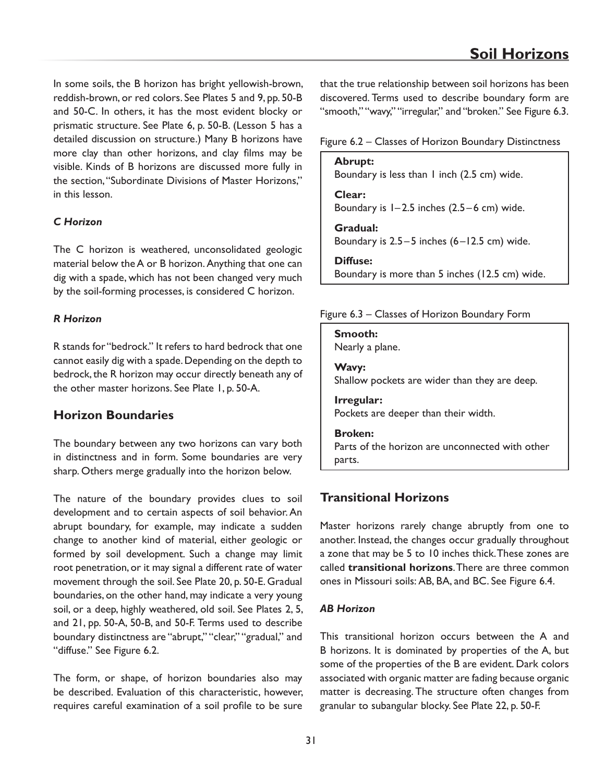In some soils, the B horizon has bright yellowish-brown, reddish-brown, or red colors. See Plates 5 and 9, pp. 50-B and 50-C. In others, it has the most evident blocky or prismatic structure. See Plate 6, p. 50-B. (Lesson 5 has a detailed discussion on structure.) Many B horizons have more clay than other horizons, and clay films may be visible. Kinds of B horizons are discussed more fully in the section, "Subordinate Divisions of Master Horizons," in this lesson.

### *C Horizon*

The C horizon is weathered, unconsolidated geologic material below the A or B horizon. Anything that one can dig with a spade, which has not been changed very much by the soil-forming processes, is considered C horizon.

### *R Horizon*

R stands for "bedrock." It refers to hard bedrock that one cannot easily dig with a spade. Depending on the depth to bedrock, the R horizon may occur directly beneath any of the other master horizons. See Plate 1, p. 50-A.

# **Horizon Boundaries**

The boundary between any two horizons can vary both in distinctness and in form. Some boundaries are very sharp. Others merge gradually into the horizon below.

The nature of the boundary provides clues to soil development and to certain aspects of soil behavior. An abrupt boundary, for example, may indicate a sudden change to another kind of material, either geologic or formed by soil development. Such a change may limit root penetration, or it may signal a different rate of water movement through the soil. See Plate 20, p. 50-E. Gradual boundaries, on the other hand, may indicate a very young soil, or a deep, highly weathered, old soil. See Plates 2, 5, and 21, pp. 50-A, 50-B, and 50-F. Terms used to describe boundary distinctness are "abrupt," "clear," "gradual," and "diffuse." See Figure 6.2.

The form, or shape, of horizon boundaries also may be described. Evaluation of this characteristic, however, requires careful examination of a soil profile to be sure

that the true relationship between soil horizons has been discovered. Terms used to describe boundary form are "smooth," "wavy," "irregular," and "broken." See Figure 6.3.

#### Figure 6.2 – Classes of Horizon Boundary Distinctness

**Abrupt:** Boundary is less than 1 inch (2.5 cm) wide. **Clear:** Boundary is  $1-2.5$  inches  $(2.5-6$  cm) wide. **Gradual:** Boundary is  $2.5 - 5$  inches  $(6 - 12.5$  cm) wide. **Diffuse:** Boundary is more than 5 inches (12.5 cm) wide.

#### Figure 6.3 – Classes of Horizon Boundary Form

**Smooth:**  Nearly a plane.

**Wavy:**  Shallow pockets are wider than they are deep.

**Irregular:**  Pockets are deeper than their width.

#### **Broken:**

Parts of the horizon are unconnected with other parts.

# **Transitional Horizons**

Master horizons rarely change abruptly from one to another. Instead, the changes occur gradually throughout a zone that may be 5 to 10 inches thick. These zones are called **transitional horizons**. There are three common ones in Missouri soils: AB, BA, and BC. See Figure 6.4.

#### *AB Horizon*

This transitional horizon occurs between the A and B horizons. It is dominated by properties of the A, but some of the properties of the B are evident. Dark colors associated with organic matter are fading because organic matter is decreasing. The structure often changes from granular to subangular blocky. See Plate 22, p. 50-F.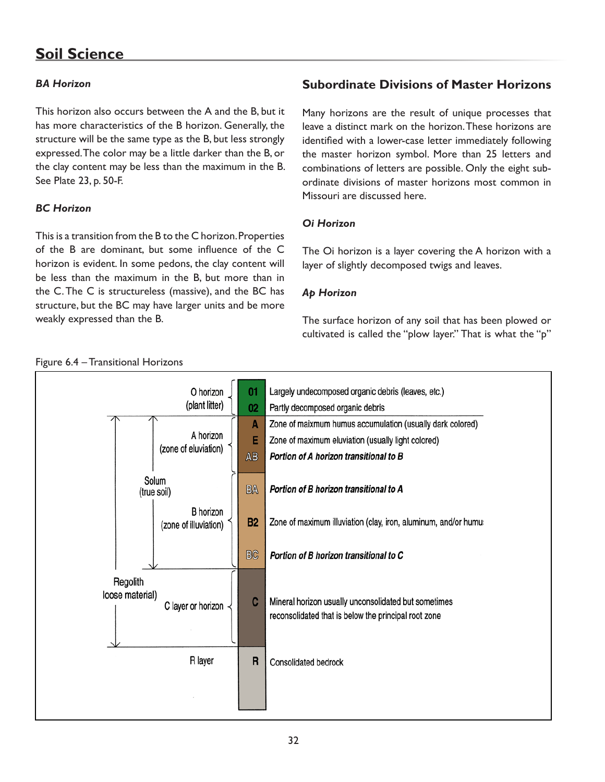# **Soil Science**

### *BA Horizon*

This horizon also occurs between the A and the B, but it has more characteristics of the B horizon. Generally, the structure will be the same type as the B, but less strongly expressed. The color may be a little darker than the B, or the clay content may be less than the maximum in the B. See Plate 23, p. 50-F.

### *BC Horizon*

This is a transition from the B to the C horizon. Properties of the B are dominant, but some influence of the C horizon is evident. In some pedons, the clay content will be less than the maximum in the B, but more than in the C. The C is structureless (massive), and the BC has structure, but the BC may have larger units and be more weakly expressed than the B.

# **Subordinate Divisions of Master Horizons**

Many horizons are the result of unique processes that leave a distinct mark on the horizon. These horizons are identified with a lower-case letter immediately following the master horizon symbol. More than 25 letters and combinations of letters are possible. Only the eight subordinate divisions of master horizons most common in Missouri are discussed here.

### *Oi Horizon*

The Oi horizon is a layer covering the A horizon with a layer of slightly decomposed twigs and leaves.

### *Ap Horizon*

The surface horizon of any soil that has been plowed or cultivated is called the "plow layer." That is what the "p"

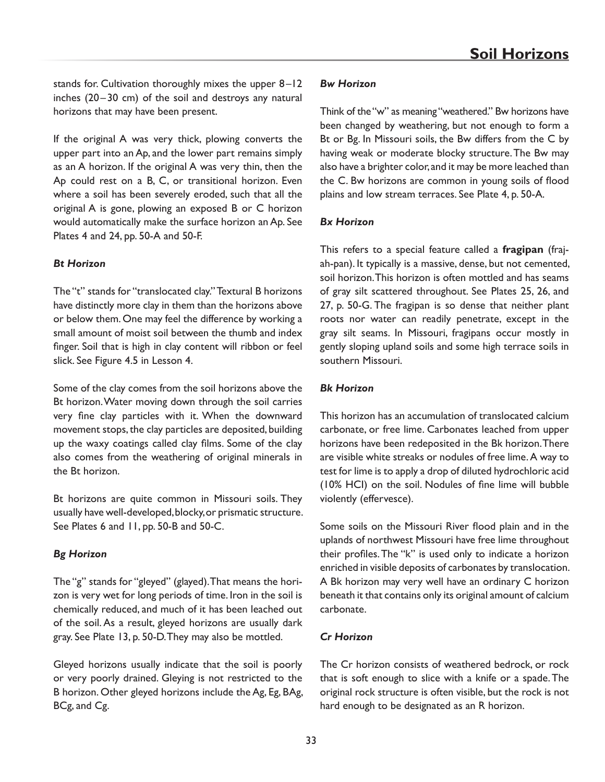stands for. Cultivation thoroughly mixes the upper 8 –12 inches (20-30 cm) of the soil and destroys any natural horizons that may have been present.

If the original A was very thick, plowing converts the upper part into an Ap, and the lower part remains simply as an A horizon. If the original A was very thin, then the Ap could rest on a B, C, or transitional horizon. Even where a soil has been severely eroded, such that all the original A is gone, plowing an exposed B or C horizon would automatically make the surface horizon an Ap. See Plates 4 and 24, pp. 50-A and 50-F.

#### *Bt Horizon*

The "t" stands for "translocated clay." Textural B horizons have distinctly more clay in them than the horizons above or below them. One may feel the difference by working a small amount of moist soil between the thumb and index finger. Soil that is high in clay content will ribbon or feel slick. See Figure 4.5 in Lesson 4.

Some of the clay comes from the soil horizons above the Bt horizon. Water moving down through the soil carries very fine clay particles with it. When the downward movement stops, the clay particles are deposited, building up the waxy coatings called clay films. Some of the clay also comes from the weathering of original minerals in the Bt horizon.

Bt horizons are quite common in Missouri soils. They usually have well-developed, blocky, or prismatic structure. See Plates 6 and 11, pp. 50-B and 50-C.

### *Bg Horizon*

The "g" stands for "gleyed" (glayed). That means the horizon is very wet for long periods of time. Iron in the soil is chemically reduced, and much of it has been leached out of the soil. As a result, gleyed horizons are usually dark gray. See Plate 13, p. 50-D. They may also be mottled.

Gleyed horizons usually indicate that the soil is poorly or very poorly drained. Gleying is not restricted to the B horizon. Other gleyed horizons include the Ag, Eg, BAg, BCg, and Cg.

#### *Bw Horizon*

Think of the "w" as meaning "weathered." Bw horizons have been changed by weathering, but not enough to form a Bt or Bg. In Missouri soils, the Bw differs from the C by having weak or moderate blocky structure. The Bw may also have a brighter color, and it may be more leached than the C. Bw horizons are common in young soils of flood plains and low stream terraces. See Plate 4, p. 50-A.

### *Bx Horizon*

This refers to a special feature called a **fragipan** (frajah-pan). It typically is a massive, dense, but not cemented, soil horizon. This horizon is often mottled and has seams of gray silt scattered throughout. See Plates 25, 26, and 27, p. 50-G. The fragipan is so dense that neither plant roots nor water can readily penetrate, except in the gray silt seams. In Missouri, fragipans occur mostly in gently sloping upland soils and some high terrace soils in southern Missouri.

### *Bk Horizon*

This horizon has an accumulation of translocated calcium carbonate, or free lime. Carbonates leached from upper horizons have been redeposited in the Bk horizon. There are visible white streaks or nodules of free lime. A way to test for lime is to apply a drop of diluted hydrochloric acid (10% HCI) on the soil. Nodules of fine lime will bubble violently (effervesce).

Some soils on the Missouri River flood plain and in the uplands of northwest Missouri have free lime throughout their profiles. The "k" is used only to indicate a horizon enriched in visible deposits of carbonates by translocation. A Bk horizon may very well have an ordinary C horizon beneath it that contains only its original amount of calcium carbonate.

### *Cr Horizon*

The Cr horizon consists of weathered bedrock, or rock that is soft enough to slice with a knife or a spade. The original rock structure is often visible, but the rock is not hard enough to be designated as an R horizon.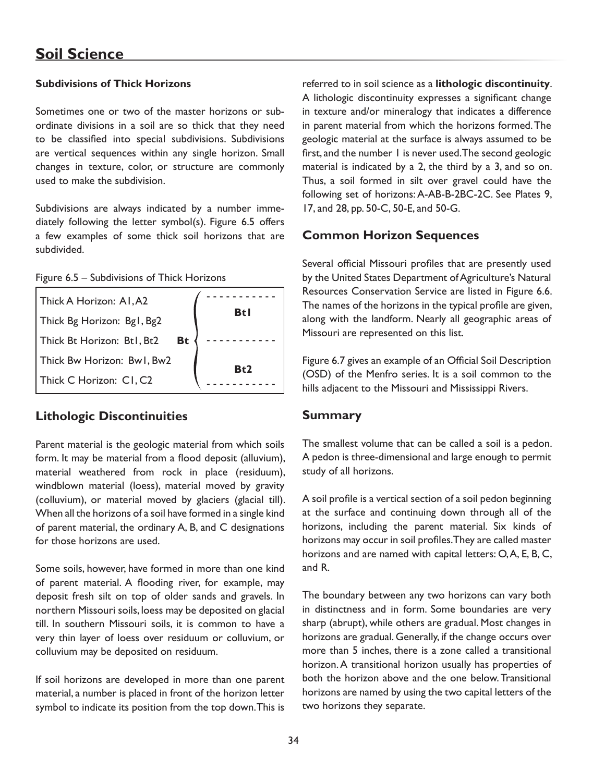### **Subdivisions of Thick Horizons**

Sometimes one or two of the master horizons or subordinate divisions in a soil are so thick that they need to be classified into special subdivisions. Subdivisions are vertical sequences within any single horizon. Small changes in texture, color, or structure are commonly used to make the subdivision.

Subdivisions are always indicated by a number immediately following the letter symbol(s). Figure 6.5 offers a few examples of some thick soil horizons that are subdivided.

Figure 6.5 – Subdivisions of Thick Horizons

| Thick A Horizon: A1, A2    |    |            |
|----------------------------|----|------------|
| Thick Bg Horizon: Bg1, Bg2 |    | <b>Btl</b> |
| Thick Bt Horizon: Bt1, Bt2 | Bt |            |
| Thick Bw Horizon: Bw1, Bw2 |    | Bt2        |
| Thick C Horizon: C1, C2    |    |            |

# **Lithologic Discontinuities**

Parent material is the geologic material from which soils form. It may be material from a flood deposit (alluvium), material weathered from rock in place (residuum), windblown material (loess), material moved by gravity (colluvium), or material moved by glaciers (glacial till). When all the horizons of a soil have formed in a single kind of parent material, the ordinary A, B, and C designations for those horizons are used.

Some soils, however, have formed in more than one kind of parent material. A flooding river, for example, may deposit fresh silt on top of older sands and gravels. In northern Missouri soils, loess may be deposited on glacial till. In southern Missouri soils, it is common to have a very thin layer of loess over residuum or colluvium, or colluvium may be deposited on residuum.

If soil horizons are developed in more than one parent material, a number is placed in front of the horizon letter symbol to indicate its position from the top down. This is referred to in soil science as a **lithologic discontinuity**. A lithologic discontinuity expresses a significant change in texture and/or mineralogy that indicates a difference in parent material from which the horizons formed. The geologic material at the surface is always assumed to be first, and the number 1 is never used. The second geologic material is indicated by a 2, the third by a 3, and so on. Thus, a soil formed in silt over gravel could have the following set of horizons: A-AB-B-2BC-2C. See Plates 9, 17, and 28, pp. 50-C, 50-E, and 50-G.

# **Common Horizon Sequences**

Several official Missouri profiles that are presently used by the United States Department of Agriculture's Natural Resources Conservation Service are listed in Figure 6.6. The names of the horizons in the typical profile are given, along with the landform. Nearly all geographic areas of Missouri are represented on this list.

Figure 6.7 gives an example of an Official Soil Description (OSD) of the Menfro series. It is a soil common to the hills adjacent to the Missouri and Mississippi Rivers.

# **Summary**

The smallest volume that can be called a soil is a pedon. A pedon is three-dimensional and large enough to permit study of all horizons.

A soil profile is a vertical section of a soil pedon beginning at the surface and continuing down through all of the horizons, including the parent material. Six kinds of horizons may occur in soil profiles. They are called master horizons and are named with capital letters: O, A, E, B, C, and R.

The boundary between any two horizons can vary both in distinctness and in form. Some boundaries are very sharp (abrupt), while others are gradual. Most changes in horizons are gradual. Generally, if the change occurs over more than 5 inches, there is a zone called a transitional horizon. A transitional horizon usually has properties of both the horizon above and the one below. Transitional horizons are named by using the two capital letters of the two horizons they separate.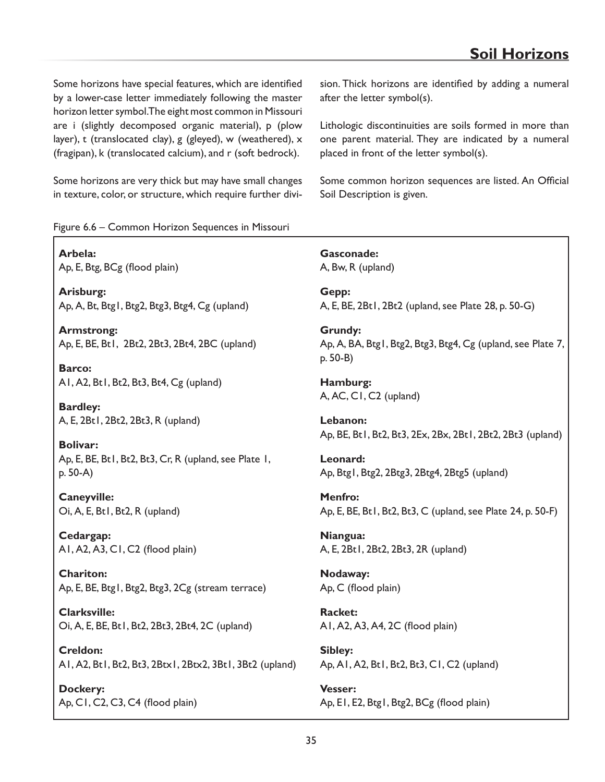Some horizons have special features, which are identified by a lower-case letter immediately following the master horizon letter symbol. The eight most common in Missouri are i (slightly decomposed organic material), p (plow layer), t (translocated clay), g (gleyed), w (weathered), x (fragipan), k (translocated calcium), and r (soft bedrock).

Some horizons are very thick but may have small changes in texture, color, or structure, which require further division. Thick horizons are identified by adding a numeral after the letter symbol(s).

Lithologic discontinuities are soils formed in more than one parent material. They are indicated by a numeral placed in front of the letter symbol(s).

Some common horizon sequences are listed. An Official Soil Description is given.

Figure 6.6 – Common Horizon Sequences in Missouri

**Arbela:**  Ap, E, Btg, BCg (flood plain)

**Arisburg:** Ap, A, Bt, Btg1, Btg2, Btg3, Btg4, Cg (upland)

**Armstrong:** Ap, E, BE, Bt1, 2Bt2, 2Bt3, 2Bt4, 2BC (upland)

**Barco:** A1, A2, Bt1, Bt2, Bt3, Bt4, Cg (upland)

**Bardley:** A, E, 2Bt1, 2Bt2, 2Bt3, R (upland)

**Bolivar:**  Ap, E, BE, Bt1, Bt2, Bt3, Cr, R (upland, see Plate 1, p. 50-A)

**Caneyville:** Oi, A, E, Bt1, Bt2, R (upland)

**Cedargap:** A1, A2, A3, C1, C2 (flood plain)

**Chariton:** Ap, E, BE, Btg1, Btg2, Btg3, 2Cg (stream terrace)

**Clarksville:**  Oi, A, E, BE, Bt1, Bt2, 2Bt3, 2Bt4, 2C (upland)

**Creldon:** A1, A2, Bt1, Bt2, Bt3, 2Btx1, 2Btx2, 3Bt1, 3Bt2 (upland)

**Dockery:** Ap, C1, C2, C3, C4 (flood plain)

**Gasconade:** A, Bw, R (upland)

**Gepp:** A, E, BE, 2Bt1, 2Bt2 (upland, see Plate 28, p. 50-G)

**Grundy:** Ap, A, BA, Btg1, Btg2, Btg3, Btg4, Cg (upland, see Plate 7, p. 50-B)

**Hamburg:** A, AC, C1, C2 (upland)

**Lebanon:**  Ap, BE, Bt1, Bt2, Bt3, 2Ex, 2Bx, 2Bt1, 2Bt2, 2Bt3 (upland)

**Leonard:** Ap, Btg1, Btg2, 2Btg3, 2Btg4, 2Btg5 (upland)

**Menfro:** Ap, E, BE, Bt1, Bt2, Bt3, C (upland, see Plate 24, p. 50-F)

**Niangua:** A, E, 2Bt1, 2Bt2, 2Bt3, 2R (upland)

**Nodaway:** Ap, C (flood plain)

**Racket:**  A1, A2, A3, A4, 2C (flood plain)

**Sibley:**  Ap, A1, A2, Bt1, Bt2, Bt3, C1, C2 (upland)

**Vesser:** Ap, E1, E2, Btg1, Btg2, BCg (flood plain)